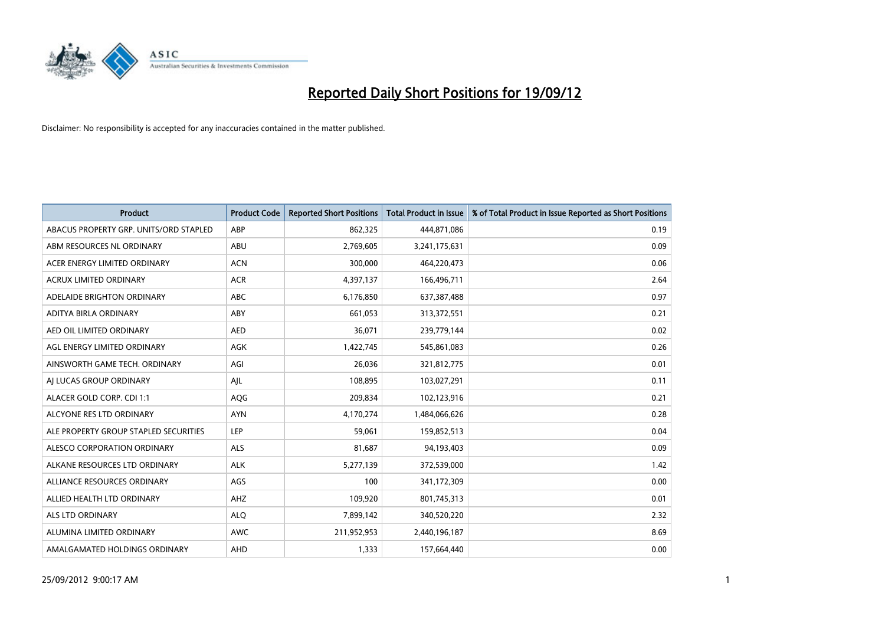

| <b>Product</b>                         | <b>Product Code</b> | <b>Reported Short Positions</b> | <b>Total Product in Issue</b> | % of Total Product in Issue Reported as Short Positions |
|----------------------------------------|---------------------|---------------------------------|-------------------------------|---------------------------------------------------------|
| ABACUS PROPERTY GRP. UNITS/ORD STAPLED | ABP                 | 862,325                         | 444,871,086                   | 0.19                                                    |
| ABM RESOURCES NL ORDINARY              | ABU                 | 2,769,605                       | 3,241,175,631                 | 0.09                                                    |
| ACER ENERGY LIMITED ORDINARY           | <b>ACN</b>          | 300,000                         | 464,220,473                   | 0.06                                                    |
| ACRUX LIMITED ORDINARY                 | <b>ACR</b>          | 4,397,137                       | 166,496,711                   | 2.64                                                    |
| ADELAIDE BRIGHTON ORDINARY             | <b>ABC</b>          | 6,176,850                       | 637,387,488                   | 0.97                                                    |
| ADITYA BIRLA ORDINARY                  | ABY                 | 661,053                         | 313,372,551                   | 0.21                                                    |
| AED OIL LIMITED ORDINARY               | <b>AED</b>          | 36,071                          | 239,779,144                   | 0.02                                                    |
| AGL ENERGY LIMITED ORDINARY            | AGK                 | 1,422,745                       | 545,861,083                   | 0.26                                                    |
| AINSWORTH GAME TECH. ORDINARY          | AGI                 | 26,036                          | 321,812,775                   | 0.01                                                    |
| AI LUCAS GROUP ORDINARY                | AIL                 | 108,895                         | 103,027,291                   | 0.11                                                    |
| ALACER GOLD CORP. CDI 1:1              | AQG                 | 209,834                         | 102,123,916                   | 0.21                                                    |
| ALCYONE RES LTD ORDINARY               | <b>AYN</b>          | 4,170,274                       | 1,484,066,626                 | 0.28                                                    |
| ALE PROPERTY GROUP STAPLED SECURITIES  | LEP                 | 59,061                          | 159,852,513                   | 0.04                                                    |
| ALESCO CORPORATION ORDINARY            | ALS                 | 81,687                          | 94,193,403                    | 0.09                                                    |
| ALKANE RESOURCES LTD ORDINARY          | <b>ALK</b>          | 5,277,139                       | 372,539,000                   | 1.42                                                    |
| ALLIANCE RESOURCES ORDINARY            | AGS                 | 100                             | 341,172,309                   | 0.00                                                    |
| ALLIED HEALTH LTD ORDINARY             | AHZ                 | 109,920                         | 801,745,313                   | 0.01                                                    |
| <b>ALS LTD ORDINARY</b>                | <b>ALQ</b>          | 7,899,142                       | 340,520,220                   | 2.32                                                    |
| ALUMINA LIMITED ORDINARY               | AWC                 | 211,952,953                     | 2,440,196,187                 | 8.69                                                    |
| AMALGAMATED HOLDINGS ORDINARY          | AHD                 | 1,333                           | 157,664,440                   | 0.00                                                    |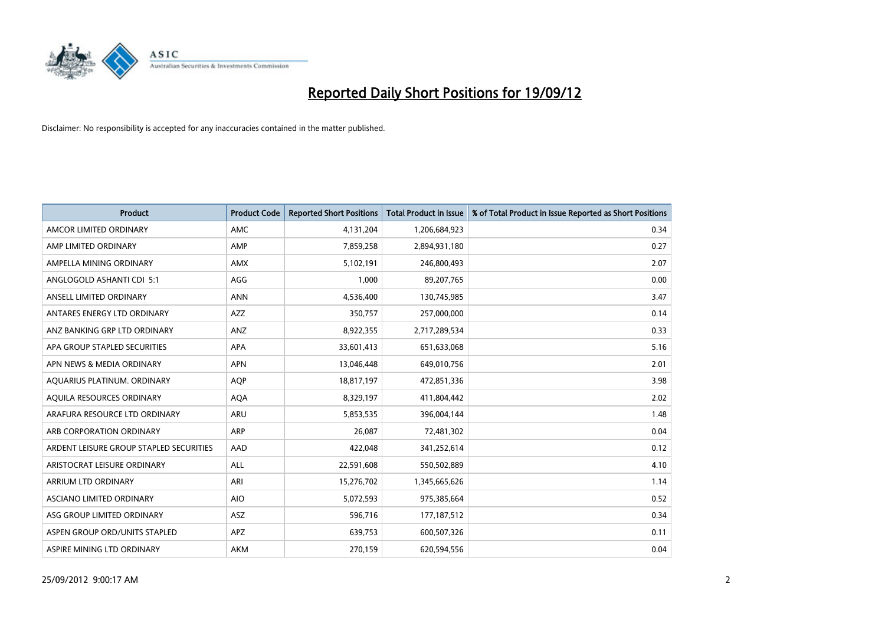

| <b>Product</b>                          | <b>Product Code</b> | <b>Reported Short Positions</b> | <b>Total Product in Issue</b> | % of Total Product in Issue Reported as Short Positions |
|-----------------------------------------|---------------------|---------------------------------|-------------------------------|---------------------------------------------------------|
| AMCOR LIMITED ORDINARY                  | <b>AMC</b>          | 4,131,204                       | 1,206,684,923                 | 0.34                                                    |
| AMP LIMITED ORDINARY                    | AMP                 | 7,859,258                       | 2,894,931,180                 | 0.27                                                    |
| AMPELLA MINING ORDINARY                 | <b>AMX</b>          | 5,102,191                       | 246,800,493                   | 2.07                                                    |
| ANGLOGOLD ASHANTI CDI 5:1               | AGG                 | 1,000                           | 89,207,765                    | 0.00                                                    |
| ANSELL LIMITED ORDINARY                 | <b>ANN</b>          | 4,536,400                       | 130,745,985                   | 3.47                                                    |
| ANTARES ENERGY LTD ORDINARY             | <b>AZZ</b>          | 350,757                         | 257,000,000                   | 0.14                                                    |
| ANZ BANKING GRP LTD ORDINARY            | ANZ                 | 8,922,355                       | 2,717,289,534                 | 0.33                                                    |
| APA GROUP STAPLED SECURITIES            | <b>APA</b>          | 33,601,413                      | 651,633,068                   | 5.16                                                    |
| APN NEWS & MEDIA ORDINARY               | <b>APN</b>          | 13,046,448                      | 649,010,756                   | 2.01                                                    |
| AQUARIUS PLATINUM. ORDINARY             | <b>AOP</b>          | 18,817,197                      | 472,851,336                   | 3.98                                                    |
| AQUILA RESOURCES ORDINARY               | <b>AQA</b>          | 8,329,197                       | 411,804,442                   | 2.02                                                    |
| ARAFURA RESOURCE LTD ORDINARY           | <b>ARU</b>          | 5,853,535                       | 396,004,144                   | 1.48                                                    |
| ARB CORPORATION ORDINARY                | <b>ARP</b>          | 26,087                          | 72,481,302                    | 0.04                                                    |
| ARDENT LEISURE GROUP STAPLED SECURITIES | AAD                 | 422,048                         | 341,252,614                   | 0.12                                                    |
| ARISTOCRAT LEISURE ORDINARY             | ALL                 | 22,591,608                      | 550,502,889                   | 4.10                                                    |
| ARRIUM LTD ORDINARY                     | ARI                 | 15,276,702                      | 1,345,665,626                 | 1.14                                                    |
| ASCIANO LIMITED ORDINARY                | <b>AIO</b>          | 5,072,593                       | 975,385,664                   | 0.52                                                    |
| ASG GROUP LIMITED ORDINARY              | <b>ASZ</b>          | 596,716                         | 177, 187, 512                 | 0.34                                                    |
| ASPEN GROUP ORD/UNITS STAPLED           | <b>APZ</b>          | 639,753                         | 600,507,326                   | 0.11                                                    |
| ASPIRE MINING LTD ORDINARY              | <b>AKM</b>          | 270,159                         | 620,594,556                   | 0.04                                                    |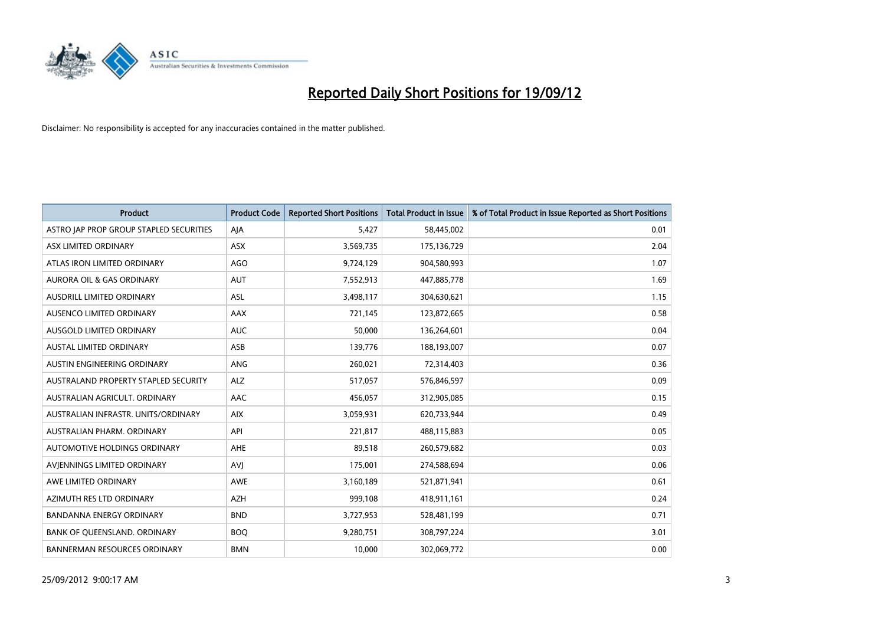

| <b>Product</b>                          | <b>Product Code</b> | <b>Reported Short Positions</b> | Total Product in Issue | % of Total Product in Issue Reported as Short Positions |
|-----------------------------------------|---------------------|---------------------------------|------------------------|---------------------------------------------------------|
| ASTRO JAP PROP GROUP STAPLED SECURITIES | AJA                 | 5.427                           | 58,445,002             | 0.01                                                    |
| ASX LIMITED ORDINARY                    | <b>ASX</b>          | 3,569,735                       | 175,136,729            | 2.04                                                    |
| ATLAS IRON LIMITED ORDINARY             | <b>AGO</b>          | 9,724,129                       | 904,580,993            | 1.07                                                    |
| AURORA OIL & GAS ORDINARY               | <b>AUT</b>          | 7,552,913                       | 447,885,778            | 1.69                                                    |
| AUSDRILL LIMITED ORDINARY               | <b>ASL</b>          | 3,498,117                       | 304,630,621            | 1.15                                                    |
| AUSENCO LIMITED ORDINARY                | AAX                 | 721,145                         | 123,872,665            | 0.58                                                    |
| AUSGOLD LIMITED ORDINARY                | <b>AUC</b>          | 50.000                          | 136,264,601            | 0.04                                                    |
| AUSTAL LIMITED ORDINARY                 | ASB                 | 139,776                         | 188,193,007            | 0.07                                                    |
| AUSTIN ENGINEERING ORDINARY             | ANG                 | 260,021                         | 72,314,403             | 0.36                                                    |
| AUSTRALAND PROPERTY STAPLED SECURITY    | <b>ALZ</b>          | 517,057                         | 576,846,597            | 0.09                                                    |
| AUSTRALIAN AGRICULT, ORDINARY           | AAC                 | 456,057                         | 312,905,085            | 0.15                                                    |
| AUSTRALIAN INFRASTR, UNITS/ORDINARY     | <b>AIX</b>          | 3,059,931                       | 620,733,944            | 0.49                                                    |
| AUSTRALIAN PHARM, ORDINARY              | API                 | 221,817                         | 488,115,883            | 0.05                                                    |
| AUTOMOTIVE HOLDINGS ORDINARY            | AHE                 | 89,518                          | 260,579,682            | 0.03                                                    |
| AVIENNINGS LIMITED ORDINARY             | <b>AVI</b>          | 175,001                         | 274,588,694            | 0.06                                                    |
| AWE LIMITED ORDINARY                    | AWE                 | 3,160,189                       | 521,871,941            | 0.61                                                    |
| AZIMUTH RES LTD ORDINARY                | <b>AZH</b>          | 999,108                         | 418,911,161            | 0.24                                                    |
| <b>BANDANNA ENERGY ORDINARY</b>         | <b>BND</b>          | 3,727,953                       | 528,481,199            | 0.71                                                    |
| <b>BANK OF OUEENSLAND, ORDINARY</b>     | <b>BOQ</b>          | 9,280,751                       | 308,797,224            | 3.01                                                    |
| <b>BANNERMAN RESOURCES ORDINARY</b>     | <b>BMN</b>          | 10.000                          | 302,069,772            | 0.00                                                    |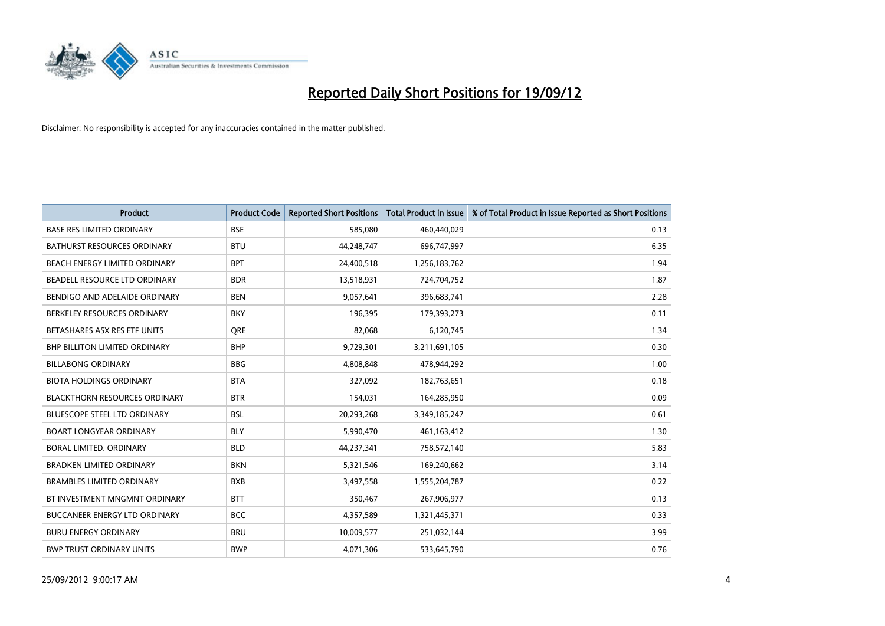

| <b>Product</b>                       | <b>Product Code</b> | <b>Reported Short Positions</b> | <b>Total Product in Issue</b> | % of Total Product in Issue Reported as Short Positions |
|--------------------------------------|---------------------|---------------------------------|-------------------------------|---------------------------------------------------------|
| <b>BASE RES LIMITED ORDINARY</b>     | <b>BSE</b>          | 585,080                         | 460,440,029                   | 0.13                                                    |
| <b>BATHURST RESOURCES ORDINARY</b>   | <b>BTU</b>          | 44,248,747                      | 696,747,997                   | 6.35                                                    |
| <b>BEACH ENERGY LIMITED ORDINARY</b> | <b>BPT</b>          | 24,400,518                      | 1,256,183,762                 | 1.94                                                    |
| BEADELL RESOURCE LTD ORDINARY        | <b>BDR</b>          | 13,518,931                      | 724,704,752                   | 1.87                                                    |
| BENDIGO AND ADELAIDE ORDINARY        | <b>BEN</b>          | 9,057,641                       | 396,683,741                   | 2.28                                                    |
| BERKELEY RESOURCES ORDINARY          | <b>BKY</b>          | 196,395                         | 179,393,273                   | 0.11                                                    |
| BETASHARES ASX RES ETF UNITS         | <b>ORE</b>          | 82,068                          | 6,120,745                     | 1.34                                                    |
| <b>BHP BILLITON LIMITED ORDINARY</b> | <b>BHP</b>          | 9,729,301                       | 3,211,691,105                 | 0.30                                                    |
| <b>BILLABONG ORDINARY</b>            | <b>BBG</b>          | 4,808,848                       | 478,944,292                   | 1.00                                                    |
| <b>BIOTA HOLDINGS ORDINARY</b>       | <b>BTA</b>          | 327,092                         | 182,763,651                   | 0.18                                                    |
| <b>BLACKTHORN RESOURCES ORDINARY</b> | <b>BTR</b>          | 154,031                         | 164,285,950                   | 0.09                                                    |
| <b>BLUESCOPE STEEL LTD ORDINARY</b>  | <b>BSL</b>          | 20,293,268                      | 3,349,185,247                 | 0.61                                                    |
| <b>BOART LONGYEAR ORDINARY</b>       | <b>BLY</b>          | 5,990,470                       | 461,163,412                   | 1.30                                                    |
| <b>BORAL LIMITED, ORDINARY</b>       | <b>BLD</b>          | 44,237,341                      | 758,572,140                   | 5.83                                                    |
| <b>BRADKEN LIMITED ORDINARY</b>      | <b>BKN</b>          | 5,321,546                       | 169,240,662                   | 3.14                                                    |
| <b>BRAMBLES LIMITED ORDINARY</b>     | <b>BXB</b>          | 3,497,558                       | 1,555,204,787                 | 0.22                                                    |
| BT INVESTMENT MNGMNT ORDINARY        | <b>BTT</b>          | 350,467                         | 267,906,977                   | 0.13                                                    |
| BUCCANEER ENERGY LTD ORDINARY        | <b>BCC</b>          | 4,357,589                       | 1,321,445,371                 | 0.33                                                    |
| <b>BURU ENERGY ORDINARY</b>          | <b>BRU</b>          | 10,009,577                      | 251,032,144                   | 3.99                                                    |
| <b>BWP TRUST ORDINARY UNITS</b>      | <b>BWP</b>          | 4,071,306                       | 533,645,790                   | 0.76                                                    |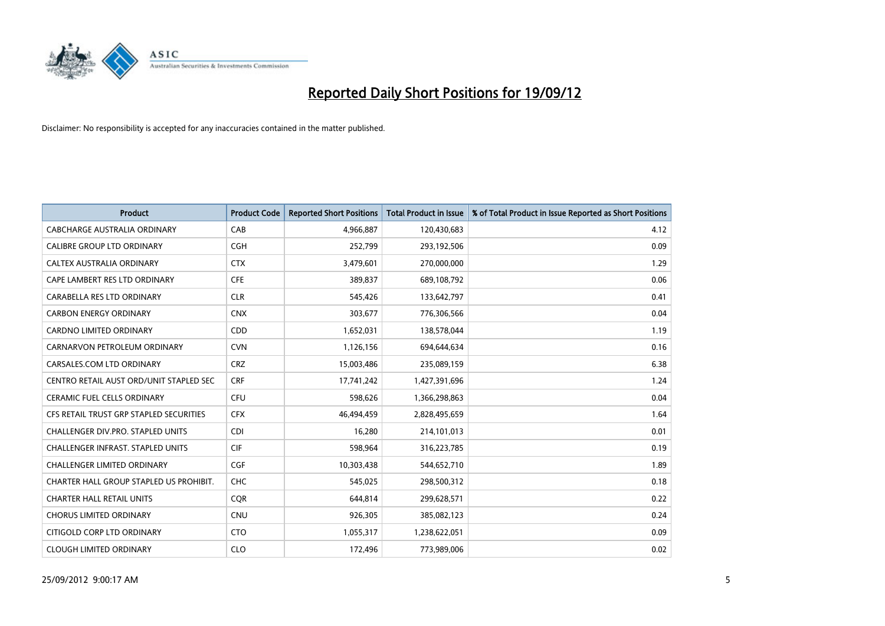

| <b>Product</b>                           | <b>Product Code</b> | <b>Reported Short Positions</b> | <b>Total Product in Issue</b> | % of Total Product in Issue Reported as Short Positions |
|------------------------------------------|---------------------|---------------------------------|-------------------------------|---------------------------------------------------------|
| CABCHARGE AUSTRALIA ORDINARY             | CAB                 | 4,966,887                       | 120,430,683                   | 4.12                                                    |
| CALIBRE GROUP LTD ORDINARY               | <b>CGH</b>          | 252,799                         | 293,192,506                   | 0.09                                                    |
| CALTEX AUSTRALIA ORDINARY                | <b>CTX</b>          | 3,479,601                       | 270,000,000                   | 1.29                                                    |
| CAPE LAMBERT RES LTD ORDINARY            | <b>CFE</b>          | 389,837                         | 689,108,792                   | 0.06                                                    |
| CARABELLA RES LTD ORDINARY               | <b>CLR</b>          | 545,426                         | 133,642,797                   | 0.41                                                    |
| <b>CARBON ENERGY ORDINARY</b>            | <b>CNX</b>          | 303,677                         | 776,306,566                   | 0.04                                                    |
| CARDNO LIMITED ORDINARY                  | CDD                 | 1,652,031                       | 138,578,044                   | 1.19                                                    |
| CARNARVON PETROLEUM ORDINARY             | <b>CVN</b>          | 1,126,156                       | 694,644,634                   | 0.16                                                    |
| CARSALES.COM LTD ORDINARY                | <b>CRZ</b>          | 15,003,486                      | 235,089,159                   | 6.38                                                    |
| CENTRO RETAIL AUST ORD/UNIT STAPLED SEC  | <b>CRF</b>          | 17,741,242                      | 1,427,391,696                 | 1.24                                                    |
| <b>CERAMIC FUEL CELLS ORDINARY</b>       | <b>CFU</b>          | 598,626                         | 1,366,298,863                 | 0.04                                                    |
| CFS RETAIL TRUST GRP STAPLED SECURITIES  | <b>CFX</b>          | 46,494,459                      | 2,828,495,659                 | 1.64                                                    |
| CHALLENGER DIV.PRO. STAPLED UNITS        | <b>CDI</b>          | 16,280                          | 214,101,013                   | 0.01                                                    |
| <b>CHALLENGER INFRAST, STAPLED UNITS</b> | <b>CIF</b>          | 598,964                         | 316,223,785                   | 0.19                                                    |
| <b>CHALLENGER LIMITED ORDINARY</b>       | <b>CGF</b>          | 10,303,438                      | 544,652,710                   | 1.89                                                    |
| CHARTER HALL GROUP STAPLED US PROHIBIT.  | <b>CHC</b>          | 545,025                         | 298,500,312                   | 0.18                                                    |
| <b>CHARTER HALL RETAIL UNITS</b>         | <b>CQR</b>          | 644,814                         | 299,628,571                   | 0.22                                                    |
| <b>CHORUS LIMITED ORDINARY</b>           | <b>CNU</b>          | 926,305                         | 385,082,123                   | 0.24                                                    |
| CITIGOLD CORP LTD ORDINARY               | <b>CTO</b>          | 1,055,317                       | 1,238,622,051                 | 0.09                                                    |
| <b>CLOUGH LIMITED ORDINARY</b>           | <b>CLO</b>          | 172,496                         | 773,989,006                   | 0.02                                                    |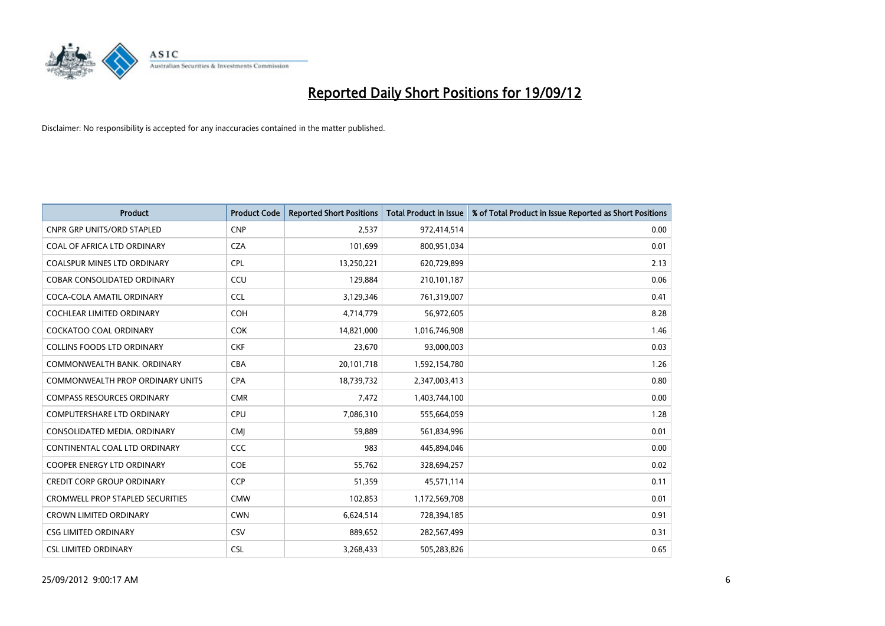

| <b>Product</b>                          | <b>Product Code</b> | <b>Reported Short Positions</b> | <b>Total Product in Issue</b> | % of Total Product in Issue Reported as Short Positions |
|-----------------------------------------|---------------------|---------------------------------|-------------------------------|---------------------------------------------------------|
| <b>CNPR GRP UNITS/ORD STAPLED</b>       | <b>CNP</b>          | 2,537                           | 972,414,514                   | 0.00                                                    |
| COAL OF AFRICA LTD ORDINARY             | <b>CZA</b>          | 101,699                         | 800,951,034                   | 0.01                                                    |
| <b>COALSPUR MINES LTD ORDINARY</b>      | <b>CPL</b>          | 13,250,221                      | 620,729,899                   | 2.13                                                    |
| COBAR CONSOLIDATED ORDINARY             | CCU                 | 129,884                         | 210,101,187                   | 0.06                                                    |
| COCA-COLA AMATIL ORDINARY               | <b>CCL</b>          | 3,129,346                       | 761,319,007                   | 0.41                                                    |
| <b>COCHLEAR LIMITED ORDINARY</b>        | <b>COH</b>          | 4,714,779                       | 56,972,605                    | 8.28                                                    |
| <b>COCKATOO COAL ORDINARY</b>           | <b>COK</b>          | 14,821,000                      | 1,016,746,908                 | 1.46                                                    |
| <b>COLLINS FOODS LTD ORDINARY</b>       | <b>CKF</b>          | 23,670                          | 93,000,003                    | 0.03                                                    |
| COMMONWEALTH BANK, ORDINARY             | <b>CBA</b>          | 20,101,718                      | 1,592,154,780                 | 1.26                                                    |
| COMMONWEALTH PROP ORDINARY UNITS        | <b>CPA</b>          | 18,739,732                      | 2,347,003,413                 | 0.80                                                    |
| <b>COMPASS RESOURCES ORDINARY</b>       | <b>CMR</b>          | 7,472                           | 1,403,744,100                 | 0.00                                                    |
| <b>COMPUTERSHARE LTD ORDINARY</b>       | CPU                 | 7,086,310                       | 555,664,059                   | 1.28                                                    |
| CONSOLIDATED MEDIA. ORDINARY            | <b>CMI</b>          | 59,889                          | 561,834,996                   | 0.01                                                    |
| CONTINENTAL COAL LTD ORDINARY           | CCC                 | 983                             | 445,894,046                   | 0.00                                                    |
| <b>COOPER ENERGY LTD ORDINARY</b>       | <b>COE</b>          | 55,762                          | 328,694,257                   | 0.02                                                    |
| CREDIT CORP GROUP ORDINARY              | <b>CCP</b>          | 51,359                          | 45,571,114                    | 0.11                                                    |
| <b>CROMWELL PROP STAPLED SECURITIES</b> | <b>CMW</b>          | 102,853                         | 1,172,569,708                 | 0.01                                                    |
| <b>CROWN LIMITED ORDINARY</b>           | <b>CWN</b>          | 6,624,514                       | 728,394,185                   | 0.91                                                    |
| <b>CSG LIMITED ORDINARY</b>             | CSV                 | 889,652                         | 282,567,499                   | 0.31                                                    |
| <b>CSL LIMITED ORDINARY</b>             | <b>CSL</b>          | 3,268,433                       | 505,283,826                   | 0.65                                                    |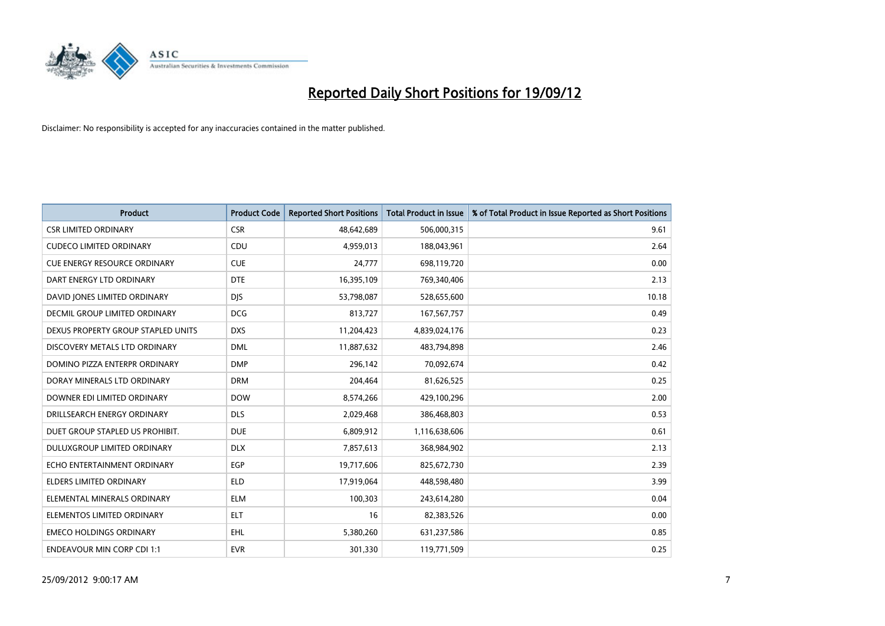

| <b>Product</b>                      | <b>Product Code</b> | <b>Reported Short Positions</b> | <b>Total Product in Issue</b> | % of Total Product in Issue Reported as Short Positions |
|-------------------------------------|---------------------|---------------------------------|-------------------------------|---------------------------------------------------------|
| <b>CSR LIMITED ORDINARY</b>         | <b>CSR</b>          | 48,642,689                      | 506,000,315                   | 9.61                                                    |
| <b>CUDECO LIMITED ORDINARY</b>      | CDU                 | 4,959,013                       | 188,043,961                   | 2.64                                                    |
| <b>CUE ENERGY RESOURCE ORDINARY</b> | <b>CUE</b>          | 24,777                          | 698,119,720                   | 0.00                                                    |
| DART ENERGY LTD ORDINARY            | <b>DTE</b>          | 16,395,109                      | 769,340,406                   | 2.13                                                    |
| DAVID JONES LIMITED ORDINARY        | <b>DIS</b>          | 53,798,087                      | 528,655,600                   | 10.18                                                   |
| DECMIL GROUP LIMITED ORDINARY       | <b>DCG</b>          | 813,727                         | 167, 567, 757                 | 0.49                                                    |
| DEXUS PROPERTY GROUP STAPLED UNITS  | <b>DXS</b>          | 11,204,423                      | 4,839,024,176                 | 0.23                                                    |
| DISCOVERY METALS LTD ORDINARY       | <b>DML</b>          | 11,887,632                      | 483,794,898                   | 2.46                                                    |
| DOMINO PIZZA ENTERPR ORDINARY       | <b>DMP</b>          | 296,142                         | 70,092,674                    | 0.42                                                    |
| DORAY MINERALS LTD ORDINARY         | <b>DRM</b>          | 204,464                         | 81,626,525                    | 0.25                                                    |
| DOWNER EDI LIMITED ORDINARY         | <b>DOW</b>          | 8,574,266                       | 429,100,296                   | 2.00                                                    |
| DRILLSEARCH ENERGY ORDINARY         | <b>DLS</b>          | 2,029,468                       | 386,468,803                   | 0.53                                                    |
| DUET GROUP STAPLED US PROHIBIT.     | <b>DUE</b>          | 6,809,912                       | 1,116,638,606                 | 0.61                                                    |
| DULUXGROUP LIMITED ORDINARY         | <b>DLX</b>          | 7,857,613                       | 368,984,902                   | 2.13                                                    |
| ECHO ENTERTAINMENT ORDINARY         | EGP                 | 19,717,606                      | 825,672,730                   | 2.39                                                    |
| ELDERS LIMITED ORDINARY             | <b>ELD</b>          | 17,919,064                      | 448,598,480                   | 3.99                                                    |
| ELEMENTAL MINERALS ORDINARY         | <b>ELM</b>          | 100,303                         | 243,614,280                   | 0.04                                                    |
| ELEMENTOS LIMITED ORDINARY          | <b>ELT</b>          | 16                              | 82,383,526                    | 0.00                                                    |
| <b>EMECO HOLDINGS ORDINARY</b>      | <b>EHL</b>          | 5,380,260                       | 631,237,586                   | 0.85                                                    |
| <b>ENDEAVOUR MIN CORP CDI 1:1</b>   | <b>EVR</b>          | 301,330                         | 119,771,509                   | 0.25                                                    |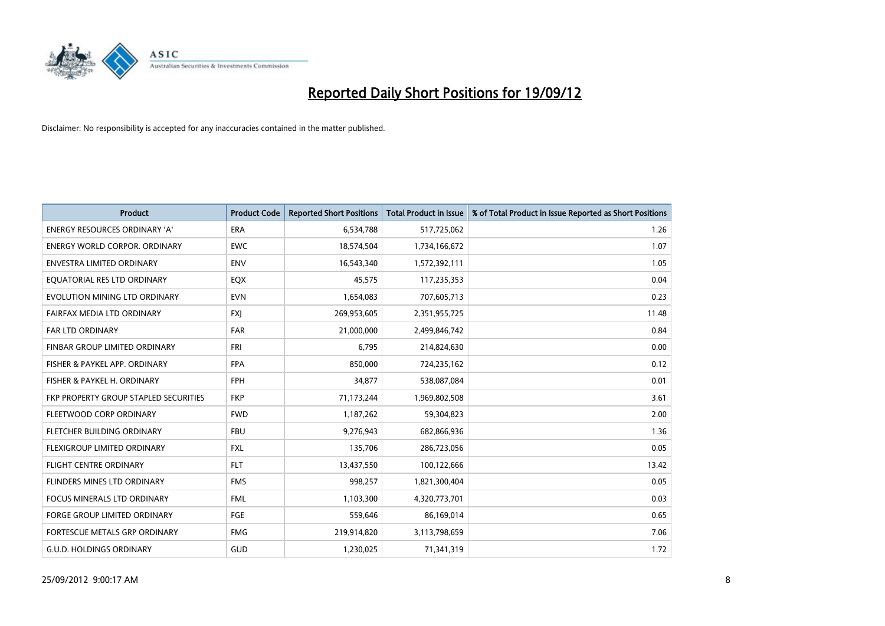

| <b>Product</b>                               | <b>Product Code</b> | <b>Reported Short Positions</b> | <b>Total Product in Issue</b> | % of Total Product in Issue Reported as Short Positions |
|----------------------------------------------|---------------------|---------------------------------|-------------------------------|---------------------------------------------------------|
| <b>ENERGY RESOURCES ORDINARY 'A'</b>         | <b>ERA</b>          | 6,534,788                       | 517,725,062                   | 1.26                                                    |
| ENERGY WORLD CORPOR. ORDINARY                | <b>EWC</b>          | 18,574,504                      | 1,734,166,672                 | 1.07                                                    |
| ENVESTRA LIMITED ORDINARY                    | <b>ENV</b>          | 16,543,340                      | 1,572,392,111                 | 1.05                                                    |
| EQUATORIAL RES LTD ORDINARY                  | EQX                 | 45,575                          | 117,235,353                   | 0.04                                                    |
| EVOLUTION MINING LTD ORDINARY                | <b>EVN</b>          | 1,654,083                       | 707,605,713                   | 0.23                                                    |
| FAIRFAX MEDIA LTD ORDINARY                   | <b>FXI</b>          | 269,953,605                     | 2,351,955,725                 | 11.48                                                   |
| <b>FAR LTD ORDINARY</b>                      | <b>FAR</b>          | 21,000,000                      | 2,499,846,742                 | 0.84                                                    |
| FINBAR GROUP LIMITED ORDINARY                | <b>FRI</b>          | 6,795                           | 214,824,630                   | 0.00                                                    |
| FISHER & PAYKEL APP. ORDINARY                | <b>FPA</b>          | 850,000                         | 724,235,162                   | 0.12                                                    |
| FISHER & PAYKEL H. ORDINARY                  | <b>FPH</b>          | 34,877                          | 538,087,084                   | 0.01                                                    |
| <b>FKP PROPERTY GROUP STAPLED SECURITIES</b> | <b>FKP</b>          | 71,173,244                      | 1,969,802,508                 | 3.61                                                    |
| FLEETWOOD CORP ORDINARY                      | <b>FWD</b>          | 1,187,262                       | 59,304,823                    | 2.00                                                    |
| FLETCHER BUILDING ORDINARY                   | <b>FBU</b>          | 9,276,943                       | 682,866,936                   | 1.36                                                    |
| FLEXIGROUP LIMITED ORDINARY                  | <b>FXL</b>          | 135,706                         | 286,723,056                   | 0.05                                                    |
| <b>FLIGHT CENTRE ORDINARY</b>                | <b>FLT</b>          | 13,437,550                      | 100,122,666                   | 13.42                                                   |
| <b>FLINDERS MINES LTD ORDINARY</b>           | <b>FMS</b>          | 998,257                         | 1,821,300,404                 | 0.05                                                    |
| <b>FOCUS MINERALS LTD ORDINARY</b>           | <b>FML</b>          | 1,103,300                       | 4,320,773,701                 | 0.03                                                    |
| FORGE GROUP LIMITED ORDINARY                 | FGE                 | 559,646                         | 86,169,014                    | 0.65                                                    |
| FORTESCUE METALS GRP ORDINARY                | <b>FMG</b>          | 219,914,820                     | 3,113,798,659                 | 7.06                                                    |
| <b>G.U.D. HOLDINGS ORDINARY</b>              | GUD                 | 1,230,025                       | 71,341,319                    | 1.72                                                    |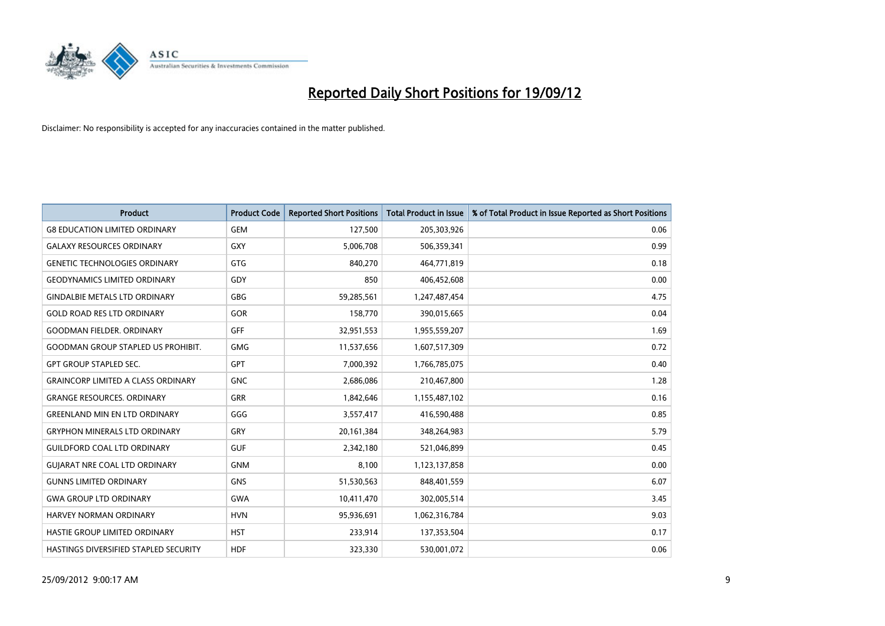

| <b>Product</b>                            | <b>Product Code</b> | <b>Reported Short Positions</b> | <b>Total Product in Issue</b> | % of Total Product in Issue Reported as Short Positions |
|-------------------------------------------|---------------------|---------------------------------|-------------------------------|---------------------------------------------------------|
| <b>G8 EDUCATION LIMITED ORDINARY</b>      | <b>GEM</b>          | 127,500                         | 205,303,926                   | 0.06                                                    |
| <b>GALAXY RESOURCES ORDINARY</b>          | <b>GXY</b>          | 5,006,708                       | 506,359,341                   | 0.99                                                    |
| <b>GENETIC TECHNOLOGIES ORDINARY</b>      | <b>GTG</b>          | 840,270                         | 464,771,819                   | 0.18                                                    |
| <b>GEODYNAMICS LIMITED ORDINARY</b>       | GDY                 | 850                             | 406,452,608                   | 0.00                                                    |
| <b>GINDALBIE METALS LTD ORDINARY</b>      | <b>GBG</b>          | 59,285,561                      | 1,247,487,454                 | 4.75                                                    |
| <b>GOLD ROAD RES LTD ORDINARY</b>         | GOR                 | 158,770                         | 390,015,665                   | 0.04                                                    |
| <b>GOODMAN FIELDER, ORDINARY</b>          | <b>GFF</b>          | 32,951,553                      | 1,955,559,207                 | 1.69                                                    |
| <b>GOODMAN GROUP STAPLED US PROHIBIT.</b> | <b>GMG</b>          | 11,537,656                      | 1,607,517,309                 | 0.72                                                    |
| <b>GPT GROUP STAPLED SEC.</b>             | <b>GPT</b>          | 7,000,392                       | 1,766,785,075                 | 0.40                                                    |
| <b>GRAINCORP LIMITED A CLASS ORDINARY</b> | <b>GNC</b>          | 2,686,086                       | 210,467,800                   | 1.28                                                    |
| <b>GRANGE RESOURCES. ORDINARY</b>         | <b>GRR</b>          | 1,842,646                       | 1,155,487,102                 | 0.16                                                    |
| <b>GREENLAND MIN EN LTD ORDINARY</b>      | GGG                 | 3,557,417                       | 416,590,488                   | 0.85                                                    |
| <b>GRYPHON MINERALS LTD ORDINARY</b>      | GRY                 | 20,161,384                      | 348,264,983                   | 5.79                                                    |
| <b>GUILDFORD COAL LTD ORDINARY</b>        | <b>GUF</b>          | 2,342,180                       | 521,046,899                   | 0.45                                                    |
| <b>GUIARAT NRE COAL LTD ORDINARY</b>      | <b>GNM</b>          | 8,100                           | 1,123,137,858                 | 0.00                                                    |
| <b>GUNNS LIMITED ORDINARY</b>             | <b>GNS</b>          | 51,530,563                      | 848,401,559                   | 6.07                                                    |
| <b>GWA GROUP LTD ORDINARY</b>             | <b>GWA</b>          | 10,411,470                      | 302,005,514                   | 3.45                                                    |
| <b>HARVEY NORMAN ORDINARY</b>             | <b>HVN</b>          | 95,936,691                      | 1,062,316,784                 | 9.03                                                    |
| HASTIE GROUP LIMITED ORDINARY             | <b>HST</b>          | 233,914                         | 137,353,504                   | 0.17                                                    |
| HASTINGS DIVERSIFIED STAPLED SECURITY     | <b>HDF</b>          | 323,330                         | 530,001,072                   | 0.06                                                    |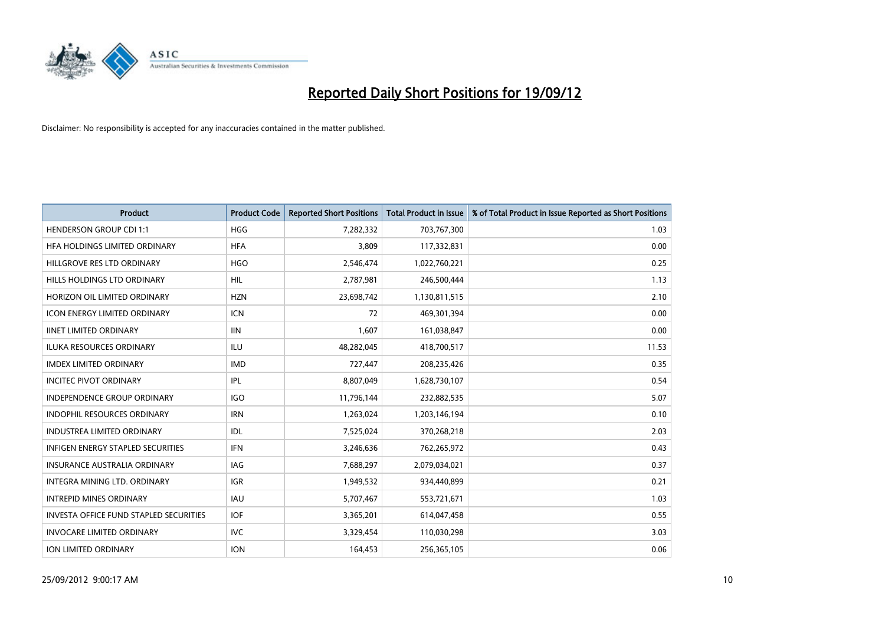

| <b>Product</b>                                | <b>Product Code</b> | <b>Reported Short Positions</b> | <b>Total Product in Issue</b> | % of Total Product in Issue Reported as Short Positions |
|-----------------------------------------------|---------------------|---------------------------------|-------------------------------|---------------------------------------------------------|
| <b>HENDERSON GROUP CDI 1:1</b>                | <b>HGG</b>          | 7,282,332                       | 703,767,300                   | 1.03                                                    |
| HFA HOLDINGS LIMITED ORDINARY                 | <b>HFA</b>          | 3,809                           | 117,332,831                   | 0.00                                                    |
| HILLGROVE RES LTD ORDINARY                    | <b>HGO</b>          | 2,546,474                       | 1,022,760,221                 | 0.25                                                    |
| HILLS HOLDINGS LTD ORDINARY                   | <b>HIL</b>          | 2,787,981                       | 246,500,444                   | 1.13                                                    |
| HORIZON OIL LIMITED ORDINARY                  | <b>HZN</b>          | 23,698,742                      | 1,130,811,515                 | 2.10                                                    |
| <b>ICON ENERGY LIMITED ORDINARY</b>           | <b>ICN</b>          | 72                              | 469,301,394                   | 0.00                                                    |
| <b>IINET LIMITED ORDINARY</b>                 | <b>IIN</b>          | 1,607                           | 161,038,847                   | 0.00                                                    |
| ILUKA RESOURCES ORDINARY                      | ILU                 | 48,282,045                      | 418,700,517                   | 11.53                                                   |
| <b>IMDEX LIMITED ORDINARY</b>                 | <b>IMD</b>          | 727,447                         | 208,235,426                   | 0.35                                                    |
| <b>INCITEC PIVOT ORDINARY</b>                 | IPL                 | 8,807,049                       | 1,628,730,107                 | 0.54                                                    |
| INDEPENDENCE GROUP ORDINARY                   | <b>IGO</b>          | 11,796,144                      | 232,882,535                   | 5.07                                                    |
| <b>INDOPHIL RESOURCES ORDINARY</b>            | <b>IRN</b>          | 1,263,024                       | 1,203,146,194                 | 0.10                                                    |
| INDUSTREA LIMITED ORDINARY                    | IDL                 | 7,525,024                       | 370,268,218                   | 2.03                                                    |
| <b>INFIGEN ENERGY STAPLED SECURITIES</b>      | <b>IFN</b>          | 3,246,636                       | 762,265,972                   | 0.43                                                    |
| <b>INSURANCE AUSTRALIA ORDINARY</b>           | IAG                 | 7,688,297                       | 2,079,034,021                 | 0.37                                                    |
| INTEGRA MINING LTD. ORDINARY                  | <b>IGR</b>          | 1,949,532                       | 934,440,899                   | 0.21                                                    |
| <b>INTREPID MINES ORDINARY</b>                | <b>IAU</b>          | 5,707,467                       | 553,721,671                   | 1.03                                                    |
| <b>INVESTA OFFICE FUND STAPLED SECURITIES</b> | <b>IOF</b>          | 3,365,201                       | 614,047,458                   | 0.55                                                    |
| <b>INVOCARE LIMITED ORDINARY</b>              | IVC                 | 3,329,454                       | 110,030,298                   | 3.03                                                    |
| <b>ION LIMITED ORDINARY</b>                   | <b>ION</b>          | 164,453                         | 256,365,105                   | 0.06                                                    |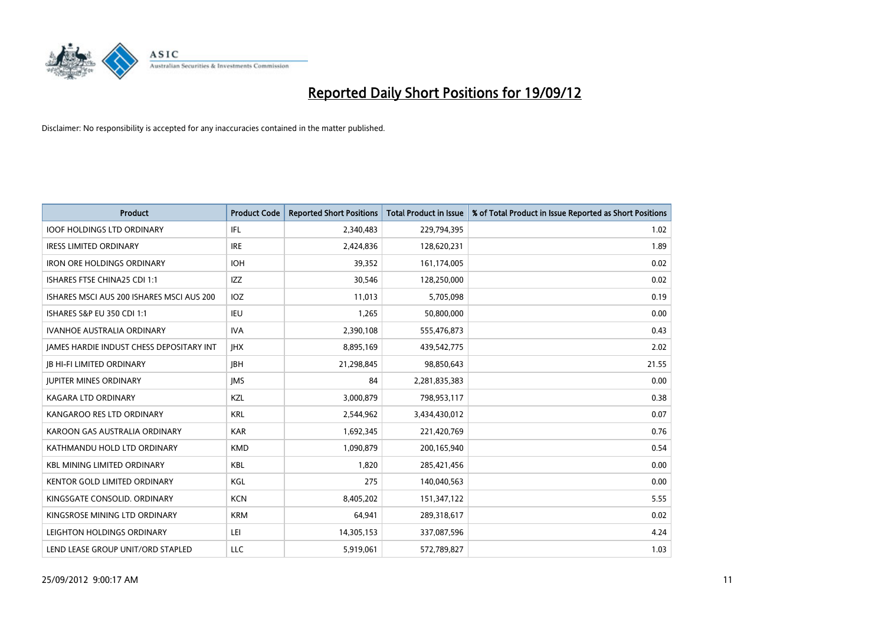

| <b>Product</b>                            | <b>Product Code</b> | <b>Reported Short Positions</b> | <b>Total Product in Issue</b> | % of Total Product in Issue Reported as Short Positions |
|-------------------------------------------|---------------------|---------------------------------|-------------------------------|---------------------------------------------------------|
| <b>IOOF HOLDINGS LTD ORDINARY</b>         | IFL                 | 2,340,483                       | 229,794,395                   | 1.02                                                    |
| <b>IRESS LIMITED ORDINARY</b>             | <b>IRE</b>          | 2,424,836                       | 128,620,231                   | 1.89                                                    |
| <b>IRON ORE HOLDINGS ORDINARY</b>         | <b>IOH</b>          | 39,352                          | 161,174,005                   | 0.02                                                    |
| ISHARES FTSE CHINA25 CDI 1:1              | IZZ                 | 30,546                          | 128,250,000                   | 0.02                                                    |
| ISHARES MSCI AUS 200 ISHARES MSCI AUS 200 | <b>IOZ</b>          | 11,013                          | 5,705,098                     | 0.19                                                    |
| ISHARES S&P EU 350 CDI 1:1                | <b>IEU</b>          | 1,265                           | 50,800,000                    | 0.00                                                    |
| <b>IVANHOE AUSTRALIA ORDINARY</b>         | <b>IVA</b>          | 2,390,108                       | 555,476,873                   | 0.43                                                    |
| JAMES HARDIE INDUST CHESS DEPOSITARY INT  | <b>IHX</b>          | 8,895,169                       | 439,542,775                   | 2.02                                                    |
| <b>IB HI-FI LIMITED ORDINARY</b>          | <b>IBH</b>          | 21,298,845                      | 98,850,643                    | 21.55                                                   |
| <b>JUPITER MINES ORDINARY</b>             | <b>IMS</b>          | 84                              | 2,281,835,383                 | 0.00                                                    |
| KAGARA LTD ORDINARY                       | <b>KZL</b>          | 3,000,879                       | 798,953,117                   | 0.38                                                    |
| KANGAROO RES LTD ORDINARY                 | <b>KRL</b>          | 2,544,962                       | 3,434,430,012                 | 0.07                                                    |
| KAROON GAS AUSTRALIA ORDINARY             | <b>KAR</b>          | 1,692,345                       | 221,420,769                   | 0.76                                                    |
| KATHMANDU HOLD LTD ORDINARY               | <b>KMD</b>          | 1,090,879                       | 200,165,940                   | 0.54                                                    |
| <b>KBL MINING LIMITED ORDINARY</b>        | <b>KBL</b>          | 1,820                           | 285,421,456                   | 0.00                                                    |
| KENTOR GOLD LIMITED ORDINARY              | KGL                 | 275                             | 140,040,563                   | 0.00                                                    |
| KINGSGATE CONSOLID. ORDINARY              | <b>KCN</b>          | 8,405,202                       | 151,347,122                   | 5.55                                                    |
| KINGSROSE MINING LTD ORDINARY             | <b>KRM</b>          | 64,941                          | 289,318,617                   | 0.02                                                    |
| LEIGHTON HOLDINGS ORDINARY                | LEI                 | 14,305,153                      | 337,087,596                   | 4.24                                                    |
| LEND LEASE GROUP UNIT/ORD STAPLED         | LLC                 | 5,919,061                       | 572,789,827                   | 1.03                                                    |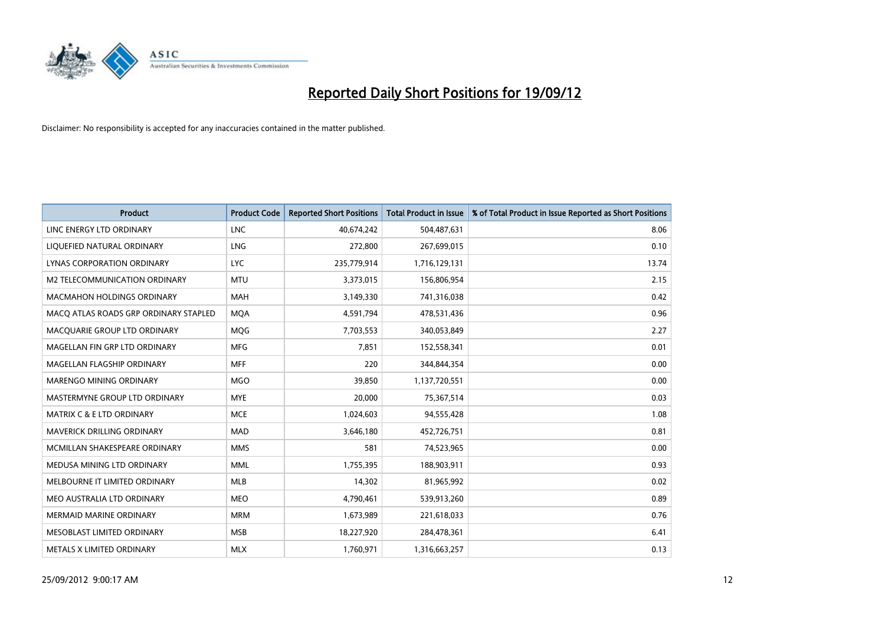

| <b>Product</b>                        | <b>Product Code</b> | <b>Reported Short Positions</b> | <b>Total Product in Issue</b> | % of Total Product in Issue Reported as Short Positions |
|---------------------------------------|---------------------|---------------------------------|-------------------------------|---------------------------------------------------------|
| LINC ENERGY LTD ORDINARY              | <b>LNC</b>          | 40,674,242                      | 504,487,631                   | 8.06                                                    |
| LIQUEFIED NATURAL ORDINARY            | LNG                 | 272,800                         | 267,699,015                   | 0.10                                                    |
| LYNAS CORPORATION ORDINARY            | <b>LYC</b>          | 235,779,914                     | 1,716,129,131                 | 13.74                                                   |
| M2 TELECOMMUNICATION ORDINARY         | <b>MTU</b>          | 3,373,015                       | 156,806,954                   | 2.15                                                    |
| <b>MACMAHON HOLDINGS ORDINARY</b>     | <b>MAH</b>          | 3,149,330                       | 741,316,038                   | 0.42                                                    |
| MACQ ATLAS ROADS GRP ORDINARY STAPLED | <b>MOA</b>          | 4,591,794                       | 478,531,436                   | 0.96                                                    |
| MACQUARIE GROUP LTD ORDINARY          | <b>MOG</b>          | 7,703,553                       | 340,053,849                   | 2.27                                                    |
| MAGELLAN FIN GRP LTD ORDINARY         | <b>MFG</b>          | 7,851                           | 152,558,341                   | 0.01                                                    |
| MAGELLAN FLAGSHIP ORDINARY            | <b>MFF</b>          | 220                             | 344,844,354                   | 0.00                                                    |
| MARENGO MINING ORDINARY               | <b>MGO</b>          | 39,850                          | 1,137,720,551                 | 0.00                                                    |
| MASTERMYNE GROUP LTD ORDINARY         | <b>MYE</b>          | 20,000                          | 75,367,514                    | 0.03                                                    |
| <b>MATRIX C &amp; E LTD ORDINARY</b>  | <b>MCE</b>          | 1,024,603                       | 94,555,428                    | 1.08                                                    |
| MAVERICK DRILLING ORDINARY            | <b>MAD</b>          | 3,646,180                       | 452,726,751                   | 0.81                                                    |
| MCMILLAN SHAKESPEARE ORDINARY         | <b>MMS</b>          | 581                             | 74,523,965                    | 0.00                                                    |
| MEDUSA MINING LTD ORDINARY            | <b>MML</b>          | 1,755,395                       | 188,903,911                   | 0.93                                                    |
| MELBOURNE IT LIMITED ORDINARY         | <b>MLB</b>          | 14,302                          | 81,965,992                    | 0.02                                                    |
| MEO AUSTRALIA LTD ORDINARY            | <b>MEO</b>          | 4,790,461                       | 539,913,260                   | 0.89                                                    |
| <b>MERMAID MARINE ORDINARY</b>        | <b>MRM</b>          | 1,673,989                       | 221,618,033                   | 0.76                                                    |
| MESOBLAST LIMITED ORDINARY            | <b>MSB</b>          | 18,227,920                      | 284,478,361                   | 6.41                                                    |
| METALS X LIMITED ORDINARY             | <b>MLX</b>          | 1,760,971                       | 1,316,663,257                 | 0.13                                                    |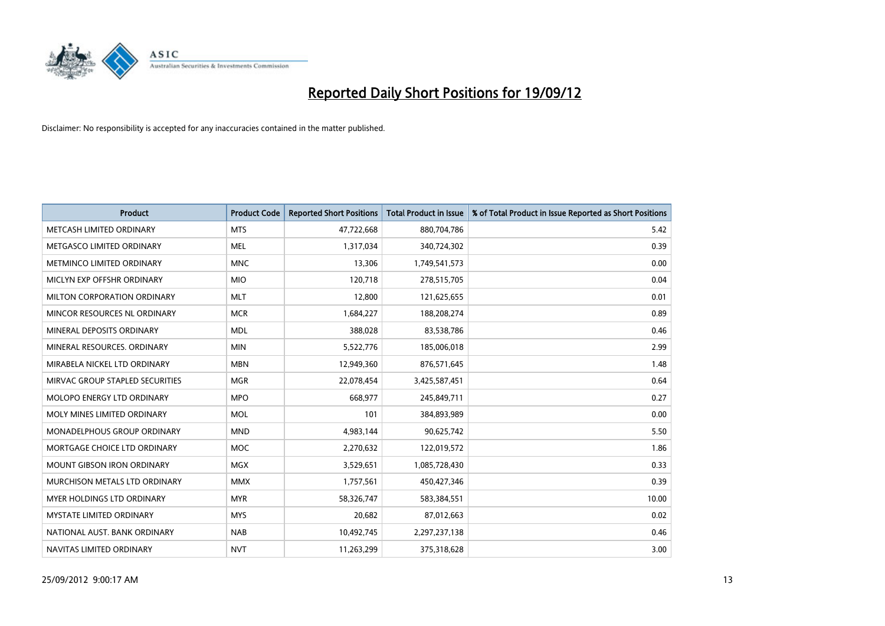

| <b>Product</b>                    | <b>Product Code</b> | <b>Reported Short Positions</b> | <b>Total Product in Issue</b> | % of Total Product in Issue Reported as Short Positions |
|-----------------------------------|---------------------|---------------------------------|-------------------------------|---------------------------------------------------------|
| METCASH LIMITED ORDINARY          | <b>MTS</b>          | 47,722,668                      | 880,704,786                   | 5.42                                                    |
| METGASCO LIMITED ORDINARY         | <b>MEL</b>          | 1,317,034                       | 340,724,302                   | 0.39                                                    |
| METMINCO LIMITED ORDINARY         | <b>MNC</b>          | 13,306                          | 1,749,541,573                 | 0.00                                                    |
| MICLYN EXP OFFSHR ORDINARY        | <b>MIO</b>          | 120,718                         | 278,515,705                   | 0.04                                                    |
| MILTON CORPORATION ORDINARY       | <b>MLT</b>          | 12,800                          | 121,625,655                   | 0.01                                                    |
| MINCOR RESOURCES NL ORDINARY      | <b>MCR</b>          | 1,684,227                       | 188,208,274                   | 0.89                                                    |
| MINERAL DEPOSITS ORDINARY         | <b>MDL</b>          | 388,028                         | 83,538,786                    | 0.46                                                    |
| MINERAL RESOURCES. ORDINARY       | <b>MIN</b>          | 5,522,776                       | 185,006,018                   | 2.99                                                    |
| MIRABELA NICKEL LTD ORDINARY      | <b>MBN</b>          | 12,949,360                      | 876,571,645                   | 1.48                                                    |
| MIRVAC GROUP STAPLED SECURITIES   | <b>MGR</b>          | 22,078,454                      | 3,425,587,451                 | 0.64                                                    |
| MOLOPO ENERGY LTD ORDINARY        | <b>MPO</b>          | 668,977                         | 245,849,711                   | 0.27                                                    |
| MOLY MINES LIMITED ORDINARY       | <b>MOL</b>          | 101                             | 384,893,989                   | 0.00                                                    |
| MONADELPHOUS GROUP ORDINARY       | <b>MND</b>          | 4,983,144                       | 90,625,742                    | 5.50                                                    |
| MORTGAGE CHOICE LTD ORDINARY      | MOC                 | 2,270,632                       | 122,019,572                   | 1.86                                                    |
| <b>MOUNT GIBSON IRON ORDINARY</b> | <b>MGX</b>          | 3,529,651                       | 1,085,728,430                 | 0.33                                                    |
| MURCHISON METALS LTD ORDINARY     | <b>MMX</b>          | 1,757,561                       | 450,427,346                   | 0.39                                                    |
| MYER HOLDINGS LTD ORDINARY        | <b>MYR</b>          | 58,326,747                      | 583,384,551                   | 10.00                                                   |
| MYSTATE LIMITED ORDINARY          | <b>MYS</b>          | 20,682                          | 87,012,663                    | 0.02                                                    |
| NATIONAL AUST, BANK ORDINARY      | <b>NAB</b>          | 10,492,745                      | 2,297,237,138                 | 0.46                                                    |
| NAVITAS LIMITED ORDINARY          | <b>NVT</b>          | 11,263,299                      | 375,318,628                   | 3.00                                                    |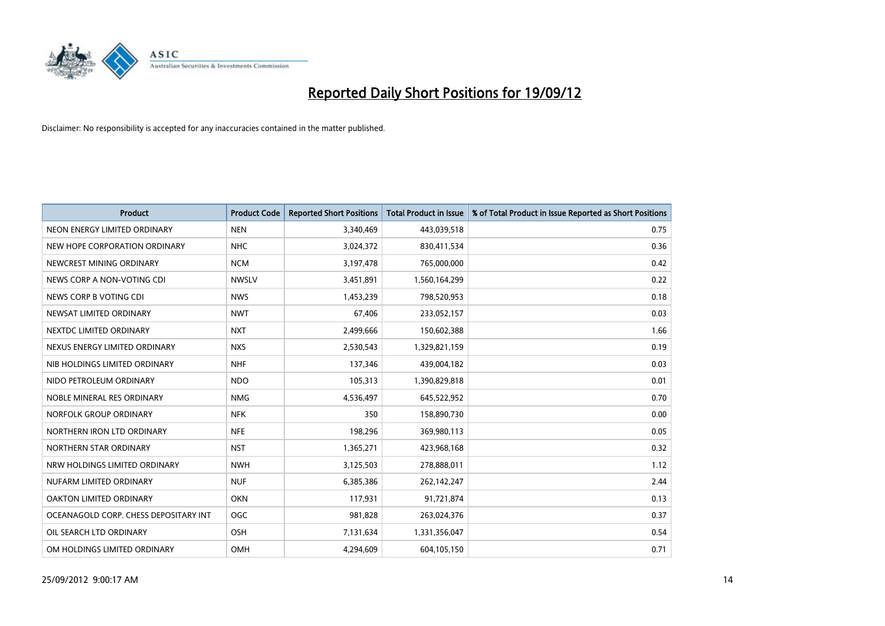

| <b>Product</b>                        | <b>Product Code</b> | <b>Reported Short Positions</b> | <b>Total Product in Issue</b> | % of Total Product in Issue Reported as Short Positions |
|---------------------------------------|---------------------|---------------------------------|-------------------------------|---------------------------------------------------------|
| NEON ENERGY LIMITED ORDINARY          | <b>NEN</b>          | 3,340,469                       | 443,039,518                   | 0.75                                                    |
| NEW HOPE CORPORATION ORDINARY         | <b>NHC</b>          | 3,024,372                       | 830,411,534                   | 0.36                                                    |
| NEWCREST MINING ORDINARY              | <b>NCM</b>          | 3,197,478                       | 765,000,000                   | 0.42                                                    |
| NEWS CORP A NON-VOTING CDI            | <b>NWSLV</b>        | 3,451,891                       | 1,560,164,299                 | 0.22                                                    |
| NEWS CORP B VOTING CDI                | <b>NWS</b>          | 1,453,239                       | 798,520,953                   | 0.18                                                    |
| NEWSAT LIMITED ORDINARY               | <b>NWT</b>          | 67,406                          | 233,052,157                   | 0.03                                                    |
| NEXTDC LIMITED ORDINARY               | <b>NXT</b>          | 2,499,666                       | 150,602,388                   | 1.66                                                    |
| NEXUS ENERGY LIMITED ORDINARY         | <b>NXS</b>          | 2,530,543                       | 1,329,821,159                 | 0.19                                                    |
| NIB HOLDINGS LIMITED ORDINARY         | <b>NHF</b>          | 137,346                         | 439,004,182                   | 0.03                                                    |
| NIDO PETROLEUM ORDINARY               | <b>NDO</b>          | 105,313                         | 1,390,829,818                 | 0.01                                                    |
| NOBLE MINERAL RES ORDINARY            | <b>NMG</b>          | 4,536,497                       | 645,522,952                   | 0.70                                                    |
| NORFOLK GROUP ORDINARY                | <b>NFK</b>          | 350                             | 158,890,730                   | 0.00                                                    |
| NORTHERN IRON LTD ORDINARY            | <b>NFE</b>          | 198,296                         | 369,980,113                   | 0.05                                                    |
| NORTHERN STAR ORDINARY                | <b>NST</b>          | 1,365,271                       | 423,968,168                   | 0.32                                                    |
| NRW HOLDINGS LIMITED ORDINARY         | <b>NWH</b>          | 3,125,503                       | 278,888,011                   | 1.12                                                    |
| NUFARM LIMITED ORDINARY               | <b>NUF</b>          | 6,385,386                       | 262,142,247                   | 2.44                                                    |
| OAKTON LIMITED ORDINARY               | <b>OKN</b>          | 117,931                         | 91,721,874                    | 0.13                                                    |
| OCEANAGOLD CORP. CHESS DEPOSITARY INT | <b>OGC</b>          | 981,828                         | 263,024,376                   | 0.37                                                    |
| OIL SEARCH LTD ORDINARY               | <b>OSH</b>          | 7,131,634                       | 1,331,356,047                 | 0.54                                                    |
| OM HOLDINGS LIMITED ORDINARY          | <b>OMH</b>          | 4,294,609                       | 604,105,150                   | 0.71                                                    |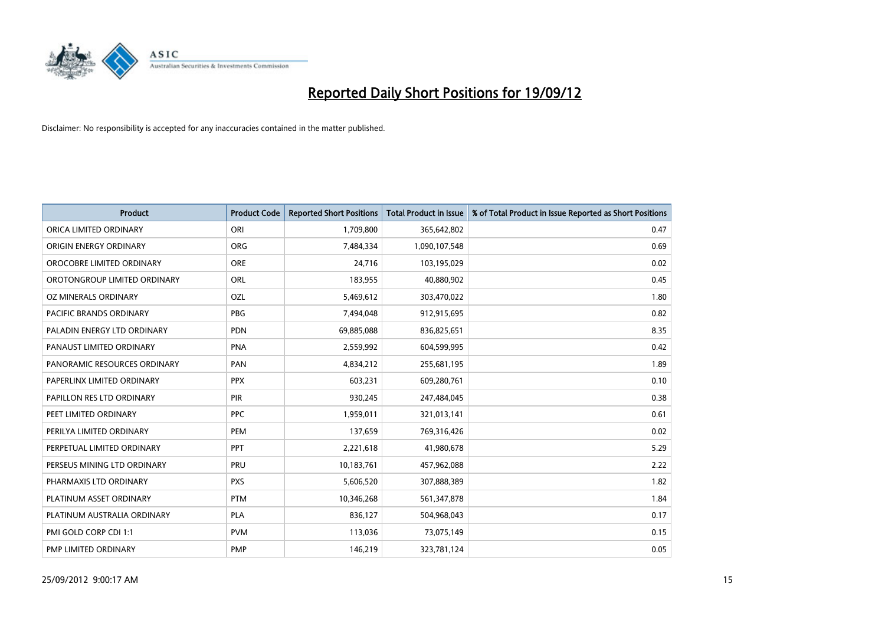

| <b>Product</b>               | <b>Product Code</b> | <b>Reported Short Positions</b> | <b>Total Product in Issue</b> | % of Total Product in Issue Reported as Short Positions |
|------------------------------|---------------------|---------------------------------|-------------------------------|---------------------------------------------------------|
| ORICA LIMITED ORDINARY       | ORI                 | 1,709,800                       | 365,642,802                   | 0.47                                                    |
| ORIGIN ENERGY ORDINARY       | <b>ORG</b>          | 7,484,334                       | 1,090,107,548                 | 0.69                                                    |
| OROCOBRE LIMITED ORDINARY    | <b>ORE</b>          | 24,716                          | 103,195,029                   | 0.02                                                    |
| OROTONGROUP LIMITED ORDINARY | <b>ORL</b>          | 183,955                         | 40,880,902                    | 0.45                                                    |
| OZ MINERALS ORDINARY         | OZL                 | 5,469,612                       | 303,470,022                   | 1.80                                                    |
| PACIFIC BRANDS ORDINARY      | PBG                 | 7,494,048                       | 912,915,695                   | 0.82                                                    |
| PALADIN ENERGY LTD ORDINARY  | <b>PDN</b>          | 69,885,088                      | 836,825,651                   | 8.35                                                    |
| PANAUST LIMITED ORDINARY     | <b>PNA</b>          | 2,559,992                       | 604,599,995                   | 0.42                                                    |
| PANORAMIC RESOURCES ORDINARY | PAN                 | 4,834,212                       | 255,681,195                   | 1.89                                                    |
| PAPERLINX LIMITED ORDINARY   | <b>PPX</b>          | 603,231                         | 609,280,761                   | 0.10                                                    |
| PAPILLON RES LTD ORDINARY    | <b>PIR</b>          | 930,245                         | 247,484,045                   | 0.38                                                    |
| PEET LIMITED ORDINARY        | <b>PPC</b>          | 1,959,011                       | 321,013,141                   | 0.61                                                    |
| PERILYA LIMITED ORDINARY     | PEM                 | 137,659                         | 769,316,426                   | 0.02                                                    |
| PERPETUAL LIMITED ORDINARY   | <b>PPT</b>          | 2,221,618                       | 41,980,678                    | 5.29                                                    |
| PERSEUS MINING LTD ORDINARY  | PRU                 | 10,183,761                      | 457,962,088                   | 2.22                                                    |
| PHARMAXIS LTD ORDINARY       | <b>PXS</b>          | 5,606,520                       | 307,888,389                   | 1.82                                                    |
| PLATINUM ASSET ORDINARY      | <b>PTM</b>          | 10,346,268                      | 561,347,878                   | 1.84                                                    |
| PLATINUM AUSTRALIA ORDINARY  | <b>PLA</b>          | 836,127                         | 504,968,043                   | 0.17                                                    |
| PMI GOLD CORP CDI 1:1        | <b>PVM</b>          | 113,036                         | 73,075,149                    | 0.15                                                    |
| PMP LIMITED ORDINARY         | <b>PMP</b>          | 146,219                         | 323,781,124                   | 0.05                                                    |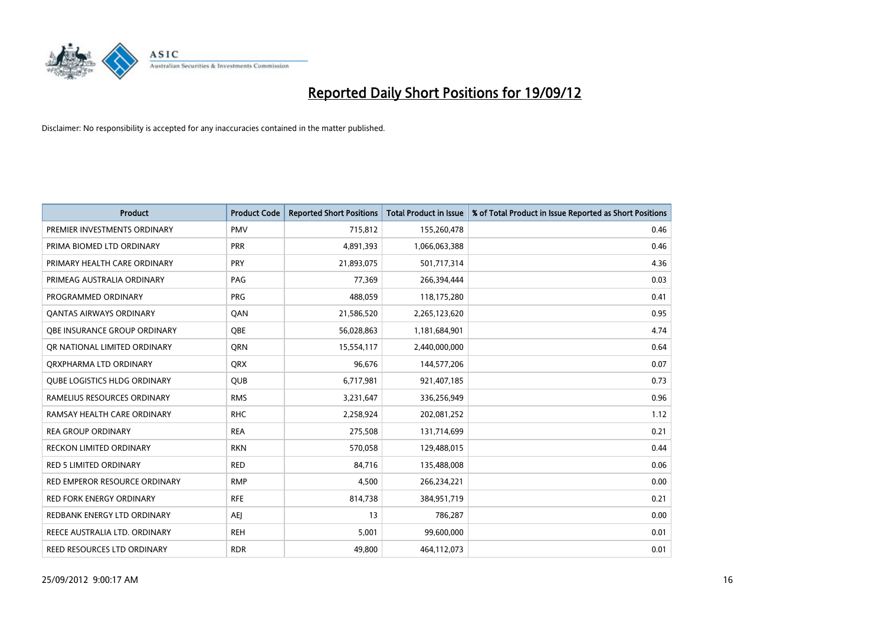

| <b>Product</b>                      | <b>Product Code</b> | <b>Reported Short Positions</b> | <b>Total Product in Issue</b> | % of Total Product in Issue Reported as Short Positions |
|-------------------------------------|---------------------|---------------------------------|-------------------------------|---------------------------------------------------------|
| PREMIER INVESTMENTS ORDINARY        | <b>PMV</b>          | 715,812                         | 155,260,478                   | 0.46                                                    |
| PRIMA BIOMED LTD ORDINARY           | <b>PRR</b>          | 4,891,393                       | 1,066,063,388                 | 0.46                                                    |
| PRIMARY HEALTH CARE ORDINARY        | <b>PRY</b>          | 21,893,075                      | 501,717,314                   | 4.36                                                    |
| PRIMEAG AUSTRALIA ORDINARY          | PAG                 | 77,369                          | 266,394,444                   | 0.03                                                    |
| PROGRAMMED ORDINARY                 | <b>PRG</b>          | 488,059                         | 118,175,280                   | 0.41                                                    |
| <b>QANTAS AIRWAYS ORDINARY</b>      | QAN                 | 21,586,520                      | 2,265,123,620                 | 0.95                                                    |
| OBE INSURANCE GROUP ORDINARY        | <b>OBE</b>          | 56,028,863                      | 1,181,684,901                 | 4.74                                                    |
| OR NATIONAL LIMITED ORDINARY        | <b>ORN</b>          | 15,554,117                      | 2,440,000,000                 | 0.64                                                    |
| ORXPHARMA LTD ORDINARY              | <b>ORX</b>          | 96,676                          | 144,577,206                   | 0.07                                                    |
| <b>QUBE LOGISTICS HLDG ORDINARY</b> | <b>QUB</b>          | 6,717,981                       | 921,407,185                   | 0.73                                                    |
| RAMELIUS RESOURCES ORDINARY         | <b>RMS</b>          | 3,231,647                       | 336,256,949                   | 0.96                                                    |
| RAMSAY HEALTH CARE ORDINARY         | <b>RHC</b>          | 2,258,924                       | 202,081,252                   | 1.12                                                    |
| <b>REA GROUP ORDINARY</b>           | <b>REA</b>          | 275,508                         | 131,714,699                   | 0.21                                                    |
| <b>RECKON LIMITED ORDINARY</b>      | <b>RKN</b>          | 570,058                         | 129,488,015                   | 0.44                                                    |
| <b>RED 5 LIMITED ORDINARY</b>       | <b>RED</b>          | 84,716                          | 135,488,008                   | 0.06                                                    |
| RED EMPEROR RESOURCE ORDINARY       | <b>RMP</b>          | 4,500                           | 266,234,221                   | 0.00                                                    |
| RED FORK ENERGY ORDINARY            | <b>RFE</b>          | 814,738                         | 384,951,719                   | 0.21                                                    |
| REDBANK ENERGY LTD ORDINARY         | AEJ                 | 13                              | 786,287                       | 0.00                                                    |
| REECE AUSTRALIA LTD. ORDINARY       | <b>REH</b>          | 5,001                           | 99,600,000                    | 0.01                                                    |
| REED RESOURCES LTD ORDINARY         | <b>RDR</b>          | 49,800                          | 464,112,073                   | 0.01                                                    |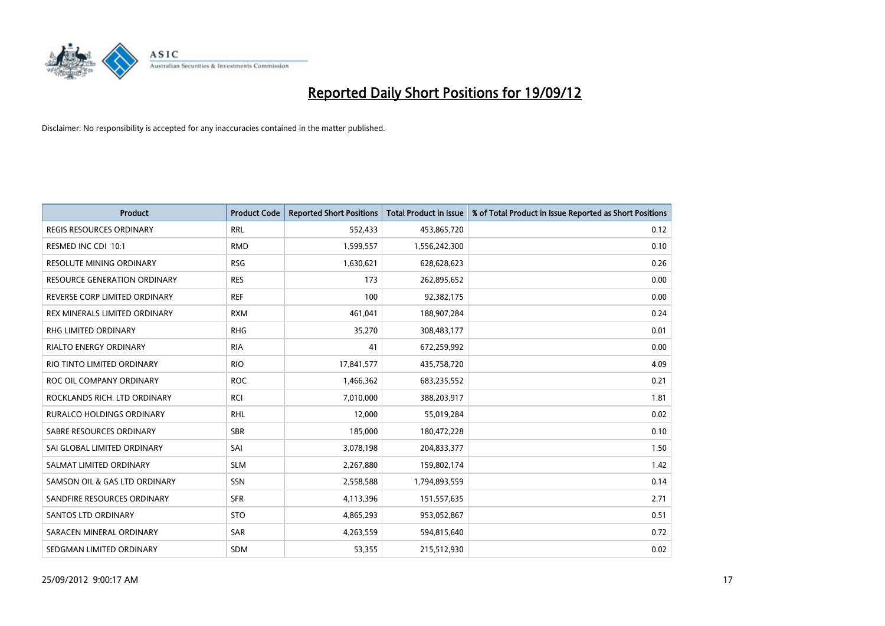

| <b>Product</b>                   | <b>Product Code</b> | <b>Reported Short Positions</b> | <b>Total Product in Issue</b> | % of Total Product in Issue Reported as Short Positions |
|----------------------------------|---------------------|---------------------------------|-------------------------------|---------------------------------------------------------|
| <b>REGIS RESOURCES ORDINARY</b>  | <b>RRL</b>          | 552,433                         | 453,865,720                   | 0.12                                                    |
| RESMED INC CDI 10:1              | <b>RMD</b>          | 1,599,557                       | 1,556,242,300                 | 0.10                                                    |
| <b>RESOLUTE MINING ORDINARY</b>  | <b>RSG</b>          | 1,630,621                       | 628,628,623                   | 0.26                                                    |
| RESOURCE GENERATION ORDINARY     | <b>RES</b>          | 173                             | 262,895,652                   | 0.00                                                    |
| REVERSE CORP LIMITED ORDINARY    | <b>REF</b>          | 100                             | 92,382,175                    | 0.00                                                    |
| REX MINERALS LIMITED ORDINARY    | <b>RXM</b>          | 461,041                         | 188,907,284                   | 0.24                                                    |
| RHG LIMITED ORDINARY             | <b>RHG</b>          | 35,270                          | 308,483,177                   | 0.01                                                    |
| <b>RIALTO ENERGY ORDINARY</b>    | <b>RIA</b>          | 41                              | 672,259,992                   | 0.00                                                    |
| RIO TINTO LIMITED ORDINARY       | <b>RIO</b>          | 17,841,577                      | 435,758,720                   | 4.09                                                    |
| ROC OIL COMPANY ORDINARY         | <b>ROC</b>          | 1,466,362                       | 683,235,552                   | 0.21                                                    |
| ROCKLANDS RICH. LTD ORDINARY     | <b>RCI</b>          | 7,010,000                       | 388,203,917                   | 1.81                                                    |
| <b>RURALCO HOLDINGS ORDINARY</b> | <b>RHL</b>          | 12,000                          | 55,019,284                    | 0.02                                                    |
| SABRE RESOURCES ORDINARY         | <b>SBR</b>          | 185,000                         | 180,472,228                   | 0.10                                                    |
| SAI GLOBAL LIMITED ORDINARY      | SAI                 | 3,078,198                       | 204,833,377                   | 1.50                                                    |
| SALMAT LIMITED ORDINARY          | <b>SLM</b>          | 2,267,880                       | 159,802,174                   | 1.42                                                    |
| SAMSON OIL & GAS LTD ORDINARY    | SSN                 | 2,558,588                       | 1,794,893,559                 | 0.14                                                    |
| SANDFIRE RESOURCES ORDINARY      | <b>SFR</b>          | 4,113,396                       | 151,557,635                   | 2.71                                                    |
| <b>SANTOS LTD ORDINARY</b>       | <b>STO</b>          | 4,865,293                       | 953,052,867                   | 0.51                                                    |
| SARACEN MINERAL ORDINARY         | <b>SAR</b>          | 4,263,559                       | 594,815,640                   | 0.72                                                    |
| SEDGMAN LIMITED ORDINARY         | <b>SDM</b>          | 53,355                          | 215,512,930                   | 0.02                                                    |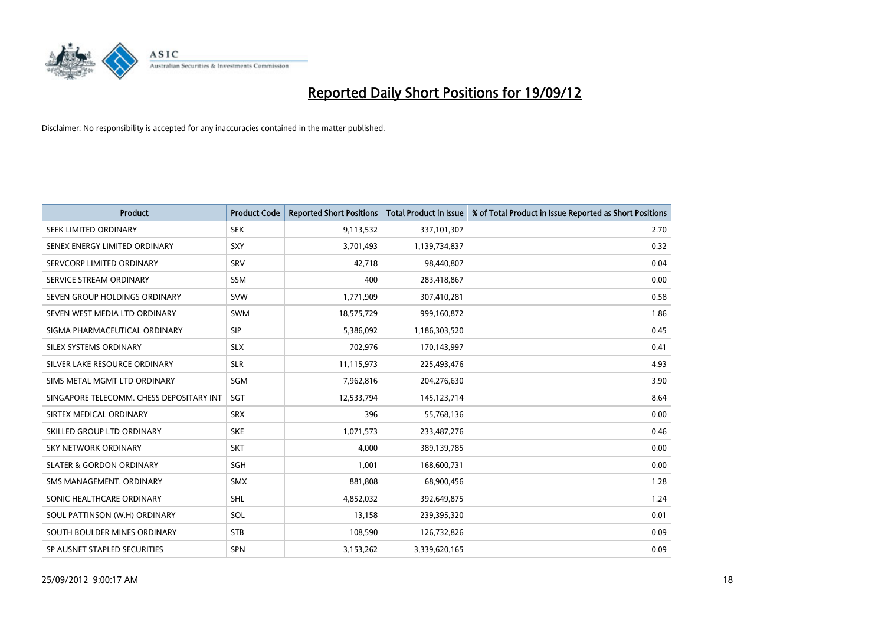

| <b>Product</b>                           | <b>Product Code</b> | <b>Reported Short Positions</b> | <b>Total Product in Issue</b> | % of Total Product in Issue Reported as Short Positions |
|------------------------------------------|---------------------|---------------------------------|-------------------------------|---------------------------------------------------------|
| SEEK LIMITED ORDINARY                    | <b>SEK</b>          | 9,113,532                       | 337,101,307                   | 2.70                                                    |
| SENEX ENERGY LIMITED ORDINARY            | SXY                 | 3,701,493                       | 1,139,734,837                 | 0.32                                                    |
| SERVCORP LIMITED ORDINARY                | SRV                 | 42,718                          | 98,440,807                    | 0.04                                                    |
| SERVICE STREAM ORDINARY                  | <b>SSM</b>          | 400                             | 283,418,867                   | 0.00                                                    |
| SEVEN GROUP HOLDINGS ORDINARY            | <b>SVW</b>          | 1,771,909                       | 307,410,281                   | 0.58                                                    |
| SEVEN WEST MEDIA LTD ORDINARY            | <b>SWM</b>          | 18,575,729                      | 999,160,872                   | 1.86                                                    |
| SIGMA PHARMACEUTICAL ORDINARY            | <b>SIP</b>          | 5,386,092                       | 1,186,303,520                 | 0.45                                                    |
| SILEX SYSTEMS ORDINARY                   | <b>SLX</b>          | 702,976                         | 170,143,997                   | 0.41                                                    |
| SILVER LAKE RESOURCE ORDINARY            | <b>SLR</b>          | 11,115,973                      | 225,493,476                   | 4.93                                                    |
| SIMS METAL MGMT LTD ORDINARY             | <b>SGM</b>          | 7,962,816                       | 204,276,630                   | 3.90                                                    |
| SINGAPORE TELECOMM. CHESS DEPOSITARY INT | SGT                 | 12,533,794                      | 145, 123, 714                 | 8.64                                                    |
| SIRTEX MEDICAL ORDINARY                  | <b>SRX</b>          | 396                             | 55,768,136                    | 0.00                                                    |
| SKILLED GROUP LTD ORDINARY               | <b>SKE</b>          | 1,071,573                       | 233,487,276                   | 0.46                                                    |
| <b>SKY NETWORK ORDINARY</b>              | <b>SKT</b>          | 4.000                           | 389,139,785                   | 0.00                                                    |
| <b>SLATER &amp; GORDON ORDINARY</b>      | <b>SGH</b>          | 1,001                           | 168,600,731                   | 0.00                                                    |
| SMS MANAGEMENT, ORDINARY                 | <b>SMX</b>          | 881,808                         | 68,900,456                    | 1.28                                                    |
| SONIC HEALTHCARE ORDINARY                | <b>SHL</b>          | 4,852,032                       | 392,649,875                   | 1.24                                                    |
| SOUL PATTINSON (W.H) ORDINARY            | SOL                 | 13,158                          | 239,395,320                   | 0.01                                                    |
| SOUTH BOULDER MINES ORDINARY             | <b>STB</b>          | 108,590                         | 126,732,826                   | 0.09                                                    |
| SP AUSNET STAPLED SECURITIES             | <b>SPN</b>          | 3,153,262                       | 3,339,620,165                 | 0.09                                                    |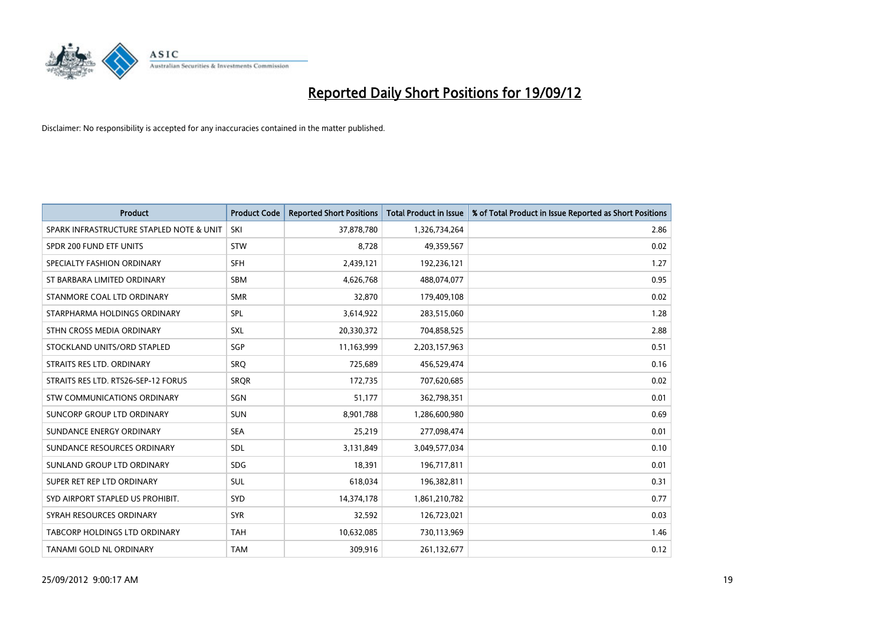

| <b>Product</b>                           | <b>Product Code</b> | <b>Reported Short Positions</b> | <b>Total Product in Issue</b> | % of Total Product in Issue Reported as Short Positions |
|------------------------------------------|---------------------|---------------------------------|-------------------------------|---------------------------------------------------------|
| SPARK INFRASTRUCTURE STAPLED NOTE & UNIT | SKI                 | 37,878,780                      | 1,326,734,264                 | 2.86                                                    |
| SPDR 200 FUND ETF UNITS                  | <b>STW</b>          | 8,728                           | 49,359,567                    | 0.02                                                    |
| SPECIALTY FASHION ORDINARY               | <b>SFH</b>          | 2,439,121                       | 192,236,121                   | 1.27                                                    |
| ST BARBARA LIMITED ORDINARY              | <b>SBM</b>          | 4,626,768                       | 488,074,077                   | 0.95                                                    |
| STANMORE COAL LTD ORDINARY               | <b>SMR</b>          | 32,870                          | 179,409,108                   | 0.02                                                    |
| STARPHARMA HOLDINGS ORDINARY             | SPL                 | 3,614,922                       | 283,515,060                   | 1.28                                                    |
| STHN CROSS MEDIA ORDINARY                | <b>SXL</b>          | 20,330,372                      | 704,858,525                   | 2.88                                                    |
| STOCKLAND UNITS/ORD STAPLED              | <b>SGP</b>          | 11,163,999                      | 2,203,157,963                 | 0.51                                                    |
| STRAITS RES LTD. ORDINARY                | SRO                 | 725,689                         | 456,529,474                   | 0.16                                                    |
| STRAITS RES LTD. RTS26-SEP-12 FORUS      | <b>SROR</b>         | 172,735                         | 707,620,685                   | 0.02                                                    |
| STW COMMUNICATIONS ORDINARY              | SGN                 | 51,177                          | 362,798,351                   | 0.01                                                    |
| SUNCORP GROUP LTD ORDINARY               | <b>SUN</b>          | 8,901,788                       | 1,286,600,980                 | 0.69                                                    |
| SUNDANCE ENERGY ORDINARY                 | <b>SEA</b>          | 25,219                          | 277,098,474                   | 0.01                                                    |
| SUNDANCE RESOURCES ORDINARY              | <b>SDL</b>          | 3,131,849                       | 3,049,577,034                 | 0.10                                                    |
| SUNLAND GROUP LTD ORDINARY               | <b>SDG</b>          | 18,391                          | 196,717,811                   | 0.01                                                    |
| SUPER RET REP LTD ORDINARY               | <b>SUL</b>          | 618,034                         | 196,382,811                   | 0.31                                                    |
| SYD AIRPORT STAPLED US PROHIBIT.         | <b>SYD</b>          | 14,374,178                      | 1,861,210,782                 | 0.77                                                    |
| SYRAH RESOURCES ORDINARY                 | <b>SYR</b>          | 32,592                          | 126,723,021                   | 0.03                                                    |
| TABCORP HOLDINGS LTD ORDINARY            | <b>TAH</b>          | 10,632,085                      | 730,113,969                   | 1.46                                                    |
| TANAMI GOLD NL ORDINARY                  | <b>TAM</b>          | 309,916                         | 261,132,677                   | 0.12                                                    |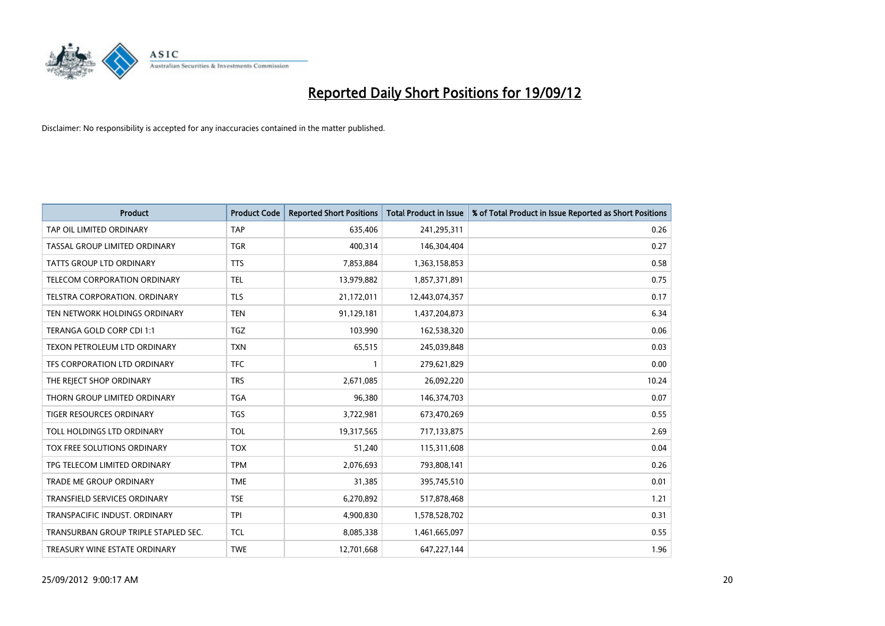

| <b>Product</b>                       | <b>Product Code</b> | <b>Reported Short Positions</b> | <b>Total Product in Issue</b> | % of Total Product in Issue Reported as Short Positions |
|--------------------------------------|---------------------|---------------------------------|-------------------------------|---------------------------------------------------------|
| TAP OIL LIMITED ORDINARY             | <b>TAP</b>          | 635,406                         | 241,295,311                   | 0.26                                                    |
| TASSAL GROUP LIMITED ORDINARY        | <b>TGR</b>          | 400,314                         | 146,304,404                   | 0.27                                                    |
| <b>TATTS GROUP LTD ORDINARY</b>      | <b>TTS</b>          | 7,853,884                       | 1,363,158,853                 | 0.58                                                    |
| TELECOM CORPORATION ORDINARY         | <b>TEL</b>          | 13,979,882                      | 1,857,371,891                 | 0.75                                                    |
| <b>TELSTRA CORPORATION, ORDINARY</b> | <b>TLS</b>          | 21,172,011                      | 12,443,074,357                | 0.17                                                    |
| TEN NETWORK HOLDINGS ORDINARY        | <b>TEN</b>          | 91,129,181                      | 1,437,204,873                 | 6.34                                                    |
| TERANGA GOLD CORP CDI 1:1            | <b>TGZ</b>          | 103,990                         | 162,538,320                   | 0.06                                                    |
| TEXON PETROLEUM LTD ORDINARY         | <b>TXN</b>          | 65,515                          | 245,039,848                   | 0.03                                                    |
| TFS CORPORATION LTD ORDINARY         | <b>TFC</b>          |                                 | 279,621,829                   | 0.00                                                    |
| THE REJECT SHOP ORDINARY             | <b>TRS</b>          | 2,671,085                       | 26,092,220                    | 10.24                                                   |
| THORN GROUP LIMITED ORDINARY         | <b>TGA</b>          | 96,380                          | 146,374,703                   | 0.07                                                    |
| <b>TIGER RESOURCES ORDINARY</b>      | <b>TGS</b>          | 3,722,981                       | 673,470,269                   | 0.55                                                    |
| TOLL HOLDINGS LTD ORDINARY           | <b>TOL</b>          | 19,317,565                      | 717,133,875                   | 2.69                                                    |
| TOX FREE SOLUTIONS ORDINARY          | <b>TOX</b>          | 51,240                          | 115,311,608                   | 0.04                                                    |
| TPG TELECOM LIMITED ORDINARY         | <b>TPM</b>          | 2,076,693                       | 793,808,141                   | 0.26                                                    |
| TRADE ME GROUP ORDINARY              | <b>TME</b>          | 31,385                          | 395,745,510                   | 0.01                                                    |
| TRANSFIELD SERVICES ORDINARY         | <b>TSE</b>          | 6,270,892                       | 517,878,468                   | 1.21                                                    |
| TRANSPACIFIC INDUST. ORDINARY        | <b>TPI</b>          | 4,900,830                       | 1,578,528,702                 | 0.31                                                    |
| TRANSURBAN GROUP TRIPLE STAPLED SEC. | <b>TCL</b>          | 8,085,338                       | 1,461,665,097                 | 0.55                                                    |
| TREASURY WINE ESTATE ORDINARY        | <b>TWE</b>          | 12,701,668                      | 647, 227, 144                 | 1.96                                                    |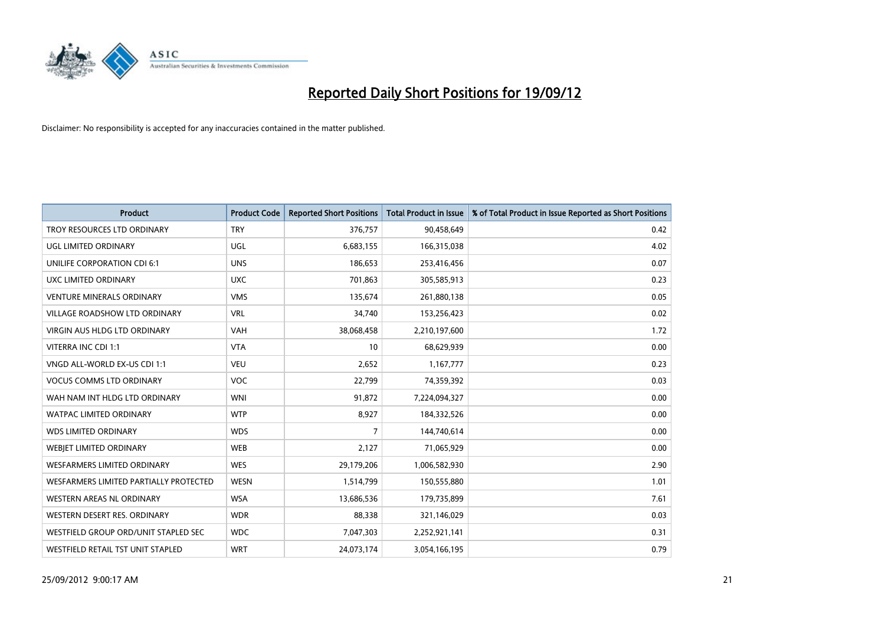

| <b>Product</b>                         | <b>Product Code</b> | <b>Reported Short Positions</b> | <b>Total Product in Issue</b> | % of Total Product in Issue Reported as Short Positions |
|----------------------------------------|---------------------|---------------------------------|-------------------------------|---------------------------------------------------------|
| TROY RESOURCES LTD ORDINARY            | <b>TRY</b>          | 376,757                         | 90,458,649                    | 0.42                                                    |
| UGL LIMITED ORDINARY                   | <b>UGL</b>          | 6,683,155                       | 166,315,038                   | 4.02                                                    |
| <b>UNILIFE CORPORATION CDI 6:1</b>     | <b>UNS</b>          | 186,653                         | 253,416,456                   | 0.07                                                    |
| UXC LIMITED ORDINARY                   | <b>UXC</b>          | 701,863                         | 305,585,913                   | 0.23                                                    |
| <b>VENTURE MINERALS ORDINARY</b>       | <b>VMS</b>          | 135,674                         | 261,880,138                   | 0.05                                                    |
| <b>VILLAGE ROADSHOW LTD ORDINARY</b>   | <b>VRL</b>          | 34,740                          | 153,256,423                   | 0.02                                                    |
| <b>VIRGIN AUS HLDG LTD ORDINARY</b>    | <b>VAH</b>          | 38,068,458                      | 2,210,197,600                 | 1.72                                                    |
| VITERRA INC CDI 1:1                    | <b>VTA</b>          | 10                              | 68,629,939                    | 0.00                                                    |
| VNGD ALL-WORLD EX-US CDI 1:1           | <b>VEU</b>          | 2,652                           | 1,167,777                     | 0.23                                                    |
| <b>VOCUS COMMS LTD ORDINARY</b>        | <b>VOC</b>          | 22,799                          | 74,359,392                    | 0.03                                                    |
| WAH NAM INT HLDG LTD ORDINARY          | <b>WNI</b>          | 91,872                          | 7,224,094,327                 | 0.00                                                    |
| <b>WATPAC LIMITED ORDINARY</b>         | <b>WTP</b>          | 8,927                           | 184,332,526                   | 0.00                                                    |
| <b>WDS LIMITED ORDINARY</b>            | <b>WDS</b>          | 7                               | 144,740,614                   | 0.00                                                    |
| <b>WEBIET LIMITED ORDINARY</b>         | <b>WEB</b>          | 2,127                           | 71,065,929                    | 0.00                                                    |
| <b>WESFARMERS LIMITED ORDINARY</b>     | <b>WES</b>          | 29,179,206                      | 1,006,582,930                 | 2.90                                                    |
| WESFARMERS LIMITED PARTIALLY PROTECTED | <b>WESN</b>         | 1,514,799                       | 150,555,880                   | 1.01                                                    |
| WESTERN AREAS NL ORDINARY              | <b>WSA</b>          | 13,686,536                      | 179,735,899                   | 7.61                                                    |
| WESTERN DESERT RES. ORDINARY           | <b>WDR</b>          | 88,338                          | 321,146,029                   | 0.03                                                    |
| WESTFIELD GROUP ORD/UNIT STAPLED SEC   | <b>WDC</b>          | 7,047,303                       | 2,252,921,141                 | 0.31                                                    |
| WESTFIELD RETAIL TST UNIT STAPLED      | <b>WRT</b>          | 24,073,174                      | 3,054,166,195                 | 0.79                                                    |